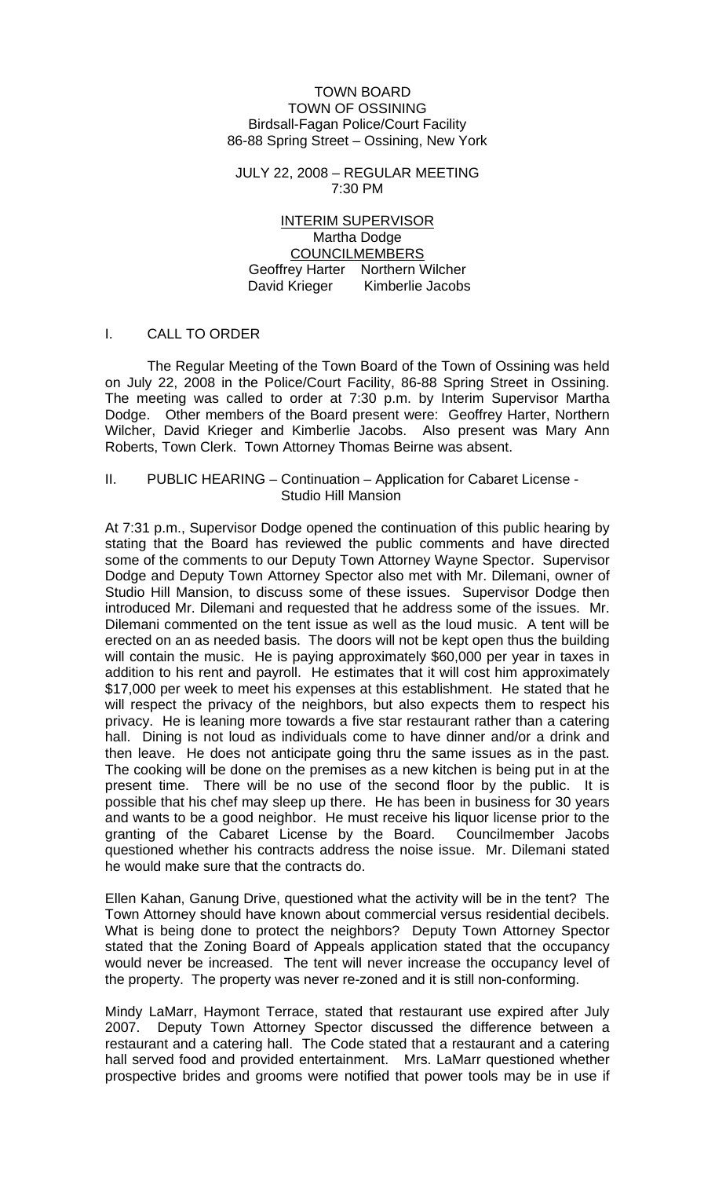#### TOWN BOARD TOWN OF OSSINING Birdsall-Fagan Police/Court Facility 86-88 Spring Street – Ossining, New York

JULY 22, 2008 – REGULAR MEETING 7:30 PM

INTERIM SUPERVISOR Martha Dodge COUNCILMEMBERS Geoffrey Harter Northern Wilcher David Krieger Kimberlie Jacobs

#### I. CALL TO ORDER

 The Regular Meeting of the Town Board of the Town of Ossining was held on July 22, 2008 in the Police/Court Facility, 86-88 Spring Street in Ossining. The meeting was called to order at 7:30 p.m. by Interim Supervisor Martha Dodge. Other members of the Board present were: Geoffrey Harter, Northern Wilcher, David Krieger and Kimberlie Jacobs. Also present was Mary Ann Roberts, Town Clerk. Town Attorney Thomas Beirne was absent.

#### II. PUBLIC HEARING – Continuation – Application for Cabaret License - Studio Hill Mansion

At 7:31 p.m., Supervisor Dodge opened the continuation of this public hearing by stating that the Board has reviewed the public comments and have directed some of the comments to our Deputy Town Attorney Wayne Spector. Supervisor Dodge and Deputy Town Attorney Spector also met with Mr. Dilemani, owner of Studio Hill Mansion, to discuss some of these issues. Supervisor Dodge then introduced Mr. Dilemani and requested that he address some of the issues. Mr. Dilemani commented on the tent issue as well as the loud music. A tent will be erected on an as needed basis. The doors will not be kept open thus the building will contain the music. He is paying approximately \$60,000 per year in taxes in addition to his rent and payroll. He estimates that it will cost him approximately \$17,000 per week to meet his expenses at this establishment. He stated that he will respect the privacy of the neighbors, but also expects them to respect his privacy. He is leaning more towards a five star restaurant rather than a catering hall. Dining is not loud as individuals come to have dinner and/or a drink and then leave. He does not anticipate going thru the same issues as in the past. The cooking will be done on the premises as a new kitchen is being put in at the present time. There will be no use of the second floor by the public. It is possible that his chef may sleep up there. He has been in business for 30 years and wants to be a good neighbor. He must receive his liquor license prior to the granting of the Cabaret License by the Board. Councilmember Jacobs questioned whether his contracts address the noise issue. Mr. Dilemani stated he would make sure that the contracts do.

Ellen Kahan, Ganung Drive, questioned what the activity will be in the tent? The Town Attorney should have known about commercial versus residential decibels. What is being done to protect the neighbors? Deputy Town Attorney Spector stated that the Zoning Board of Appeals application stated that the occupancy would never be increased. The tent will never increase the occupancy level of the property. The property was never re-zoned and it is still non-conforming.

Mindy LaMarr, Haymont Terrace, stated that restaurant use expired after July 2007. Deputy Town Attorney Spector discussed the difference between a restaurant and a catering hall. The Code stated that a restaurant and a catering hall served food and provided entertainment. Mrs. LaMarr questioned whether prospective brides and grooms were notified that power tools may be in use if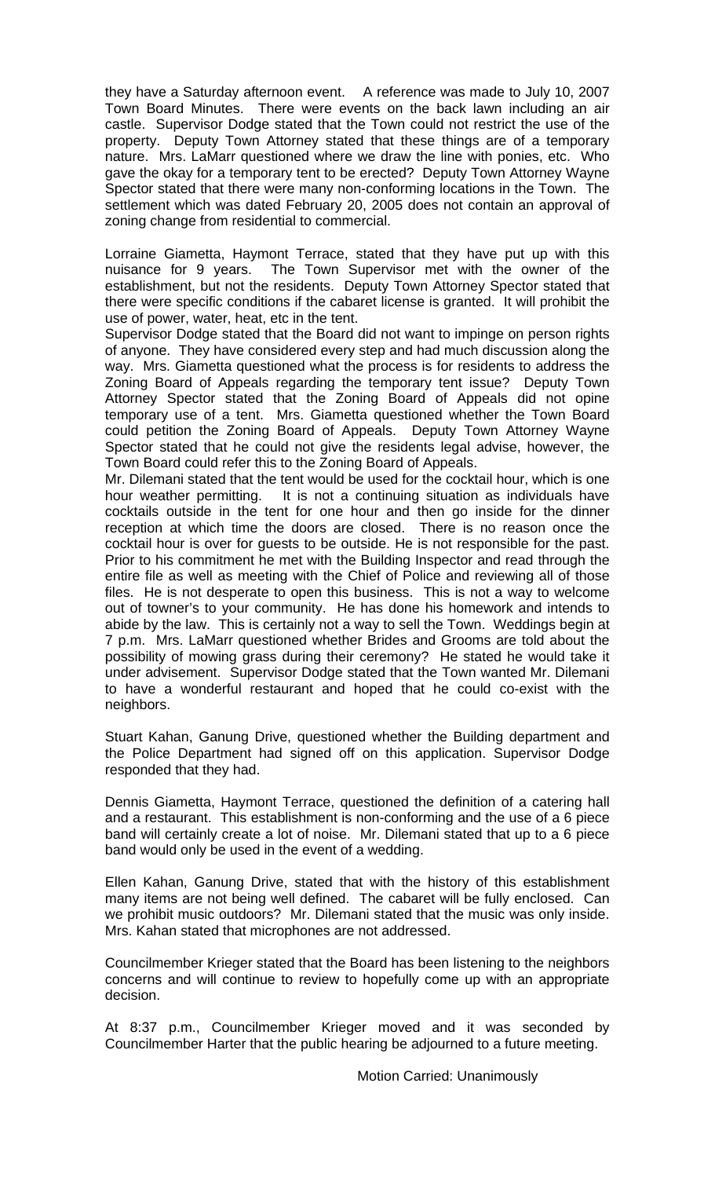they have a Saturday afternoon event. A reference was made to July 10, 2007 Town Board Minutes. There were events on the back lawn including an air castle. Supervisor Dodge stated that the Town could not restrict the use of the property. Deputy Town Attorney stated that these things are of a temporary nature. Mrs. LaMarr questioned where we draw the line with ponies, etc. Who gave the okay for a temporary tent to be erected? Deputy Town Attorney Wayne Spector stated that there were many non-conforming locations in the Town. The settlement which was dated February 20, 2005 does not contain an approval of zoning change from residential to commercial.

Lorraine Giametta, Haymont Terrace, stated that they have put up with this nuisance for 9 years. The Town Supervisor met with the owner of the establishment, but not the residents. Deputy Town Attorney Spector stated that there were specific conditions if the cabaret license is granted. It will prohibit the use of power, water, heat, etc in the tent.

Supervisor Dodge stated that the Board did not want to impinge on person rights of anyone. They have considered every step and had much discussion along the way. Mrs. Giametta questioned what the process is for residents to address the Zoning Board of Appeals regarding the temporary tent issue? Deputy Town Attorney Spector stated that the Zoning Board of Appeals did not opine temporary use of a tent. Mrs. Giametta questioned whether the Town Board could petition the Zoning Board of Appeals. Deputy Town Attorney Wayne Spector stated that he could not give the residents legal advise, however, the Town Board could refer this to the Zoning Board of Appeals.

Mr. Dilemani stated that the tent would be used for the cocktail hour, which is one hour weather permitting. It is not a continuing situation as individuals have cocktails outside in the tent for one hour and then go inside for the dinner reception at which time the doors are closed. There is no reason once the cocktail hour is over for guests to be outside. He is not responsible for the past. Prior to his commitment he met with the Building Inspector and read through the entire file as well as meeting with the Chief of Police and reviewing all of those files. He is not desperate to open this business. This is not a way to welcome out of towner's to your community. He has done his homework and intends to abide by the law. This is certainly not a way to sell the Town. Weddings begin at 7 p.m. Mrs. LaMarr questioned whether Brides and Grooms are told about the possibility of mowing grass during their ceremony? He stated he would take it under advisement. Supervisor Dodge stated that the Town wanted Mr. Dilemani to have a wonderful restaurant and hoped that he could co-exist with the neighbors.

Stuart Kahan, Ganung Drive, questioned whether the Building department and the Police Department had signed off on this application. Supervisor Dodge responded that they had.

Dennis Giametta, Haymont Terrace, questioned the definition of a catering hall and a restaurant. This establishment is non-conforming and the use of a 6 piece band will certainly create a lot of noise. Mr. Dilemani stated that up to a 6 piece band would only be used in the event of a wedding.

Ellen Kahan, Ganung Drive, stated that with the history of this establishment many items are not being well defined. The cabaret will be fully enclosed. Can we prohibit music outdoors? Mr. Dilemani stated that the music was only inside. Mrs. Kahan stated that microphones are not addressed.

Councilmember Krieger stated that the Board has been listening to the neighbors concerns and will continue to review to hopefully come up with an appropriate decision.

At 8:37 p.m., Councilmember Krieger moved and it was seconded by Councilmember Harter that the public hearing be adjourned to a future meeting.

Motion Carried: Unanimously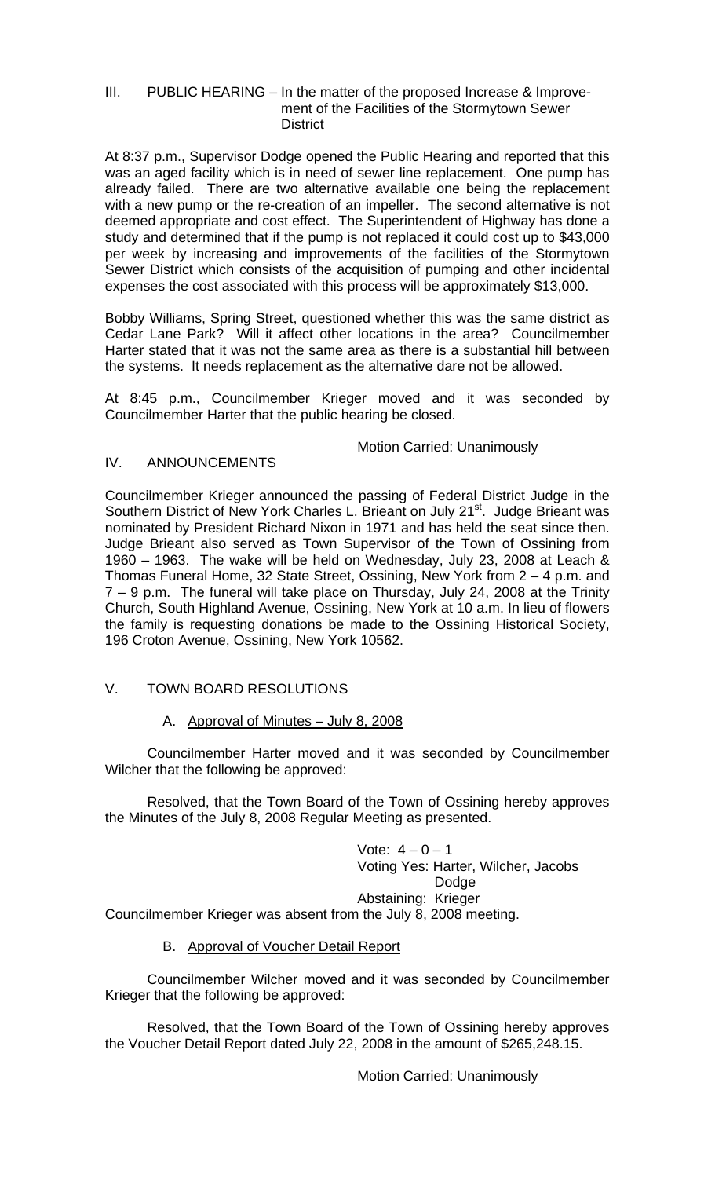### III. PUBLIC HEARING – In the matter of the proposed Increase & Improve ment of the Facilities of the Stormytown Sewer **District**

At 8:37 p.m., Supervisor Dodge opened the Public Hearing and reported that this was an aged facility which is in need of sewer line replacement. One pump has already failed. There are two alternative available one being the replacement with a new pump or the re-creation of an impeller. The second alternative is not deemed appropriate and cost effect. The Superintendent of Highway has done a study and determined that if the pump is not replaced it could cost up to \$43,000 per week by increasing and improvements of the facilities of the Stormytown Sewer District which consists of the acquisition of pumping and other incidental expenses the cost associated with this process will be approximately \$13,000.

Bobby Williams, Spring Street, questioned whether this was the same district as Cedar Lane Park? Will it affect other locations in the area? Councilmember Harter stated that it was not the same area as there is a substantial hill between the systems. It needs replacement as the alternative dare not be allowed.

At 8:45 p.m., Councilmember Krieger moved and it was seconded by Councilmember Harter that the public hearing be closed.

# Motion Carried: Unanimously<br>IV. ANNOUNCEMENTS

## **ANNOUNCEMENTS**

Councilmember Krieger announced the passing of Federal District Judge in the Southern District of New York Charles L. Brieant on July 21<sup>st</sup>. Judge Brieant was nominated by President Richard Nixon in 1971 and has held the seat since then. Judge Brieant also served as Town Supervisor of the Town of Ossining from 1960 – 1963. The wake will be held on Wednesday, July 23, 2008 at Leach & Thomas Funeral Home, 32 State Street, Ossining, New York from 2 – 4 p.m. and 7 – 9 p.m. The funeral will take place on Thursday, July 24, 2008 at the Trinity Church, South Highland Avenue, Ossining, New York at 10 a.m. In lieu of flowers the family is requesting donations be made to the Ossining Historical Society, 196 Croton Avenue, Ossining, New York 10562.

## V. TOWN BOARD RESOLUTIONS

## A. Approval of Minutes – July 8, 2008

 Councilmember Harter moved and it was seconded by Councilmember Wilcher that the following be approved:

 Resolved, that the Town Board of the Town of Ossining hereby approves the Minutes of the July 8, 2008 Regular Meeting as presented.

Vote:  $4 - 0 - 1$  Voting Yes: Harter, Wilcher, Jacobs Dodge Abstaining: Krieger Councilmember Krieger was absent from the July 8, 2008 meeting.

#### B. Approval of Voucher Detail Report

 Councilmember Wilcher moved and it was seconded by Councilmember Krieger that the following be approved:

 Resolved, that the Town Board of the Town of Ossining hereby approves the Voucher Detail Report dated July 22, 2008 in the amount of \$265,248.15.

Motion Carried: Unanimously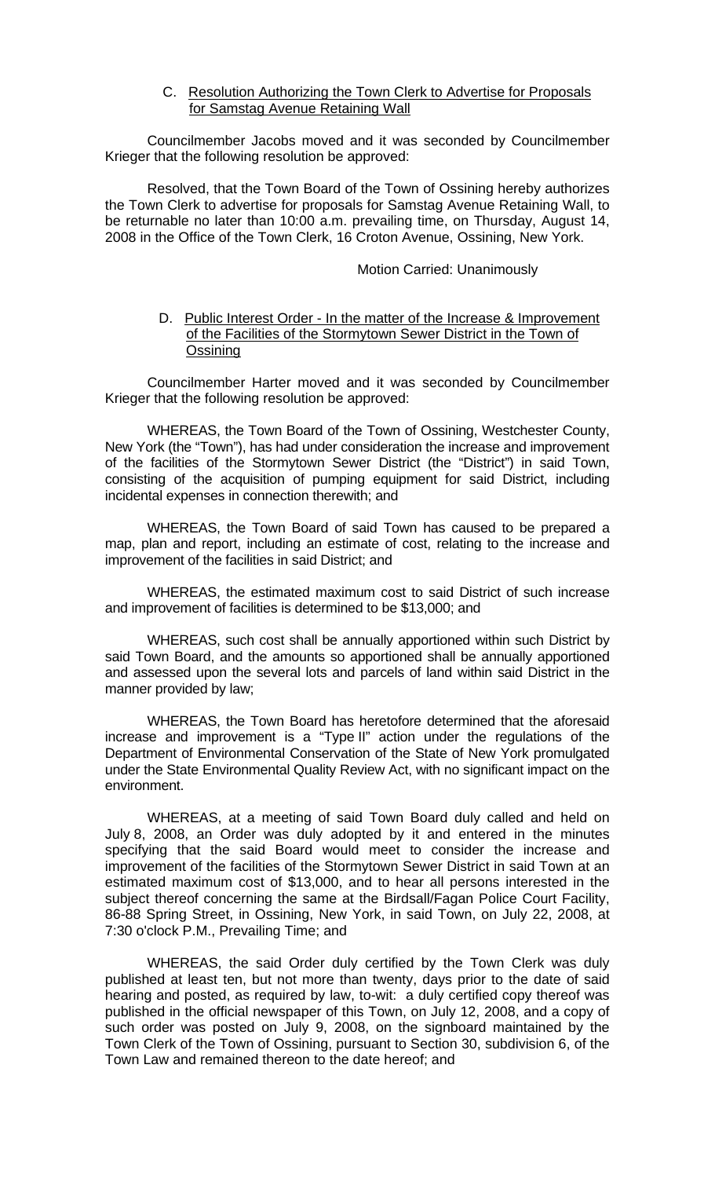C. Resolution Authorizing the Town Clerk to Advertise for Proposals for Samstag Avenue Retaining Wall

 Councilmember Jacobs moved and it was seconded by Councilmember Krieger that the following resolution be approved:

 Resolved, that the Town Board of the Town of Ossining hereby authorizes the Town Clerk to advertise for proposals for Samstag Avenue Retaining Wall, to be returnable no later than 10:00 a.m. prevailing time, on Thursday, August 14, 2008 in the Office of the Town Clerk, 16 Croton Avenue, Ossining, New York.

#### Motion Carried: Unanimously

#### D. Public Interest Order - In the matter of the Increase & Improvement of the Facilities of the Stormytown Sewer District in the Town of **Ossining**

 Councilmember Harter moved and it was seconded by Councilmember Krieger that the following resolution be approved:

WHEREAS, the Town Board of the Town of Ossining, Westchester County, New York (the "Town"), has had under consideration the increase and improvement of the facilities of the Stormytown Sewer District (the "District") in said Town, consisting of the acquisition of pumping equipment for said District, including incidental expenses in connection therewith; and

WHEREAS, the Town Board of said Town has caused to be prepared a map, plan and report, including an estimate of cost, relating to the increase and improvement of the facilities in said District; and

WHEREAS, the estimated maximum cost to said District of such increase and improvement of facilities is determined to be \$13,000; and

WHEREAS, such cost shall be annually apportioned within such District by said Town Board, and the amounts so apportioned shall be annually apportioned and assessed upon the several lots and parcels of land within said District in the manner provided by law;

WHEREAS, the Town Board has heretofore determined that the aforesaid increase and improvement is a "Type II" action under the regulations of the Department of Environmental Conservation of the State of New York promulgated under the State Environmental Quality Review Act, with no significant impact on the environment.

WHEREAS, at a meeting of said Town Board duly called and held on July 8, 2008, an Order was duly adopted by it and entered in the minutes specifying that the said Board would meet to consider the increase and improvement of the facilities of the Stormytown Sewer District in said Town at an estimated maximum cost of \$13,000, and to hear all persons interested in the subject thereof concerning the same at the Birdsall/Fagan Police Court Facility, 86-88 Spring Street, in Ossining, New York, in said Town, on July 22, 2008, at 7:30 o'clock P.M., Prevailing Time; and

WHEREAS, the said Order duly certified by the Town Clerk was duly published at least ten, but not more than twenty, days prior to the date of said hearing and posted, as required by law, to-wit: a duly certified copy thereof was published in the official newspaper of this Town, on July 12, 2008, and a copy of such order was posted on July 9, 2008, on the signboard maintained by the Town Clerk of the Town of Ossining, pursuant to Section 30, subdivision 6, of the Town Law and remained thereon to the date hereof; and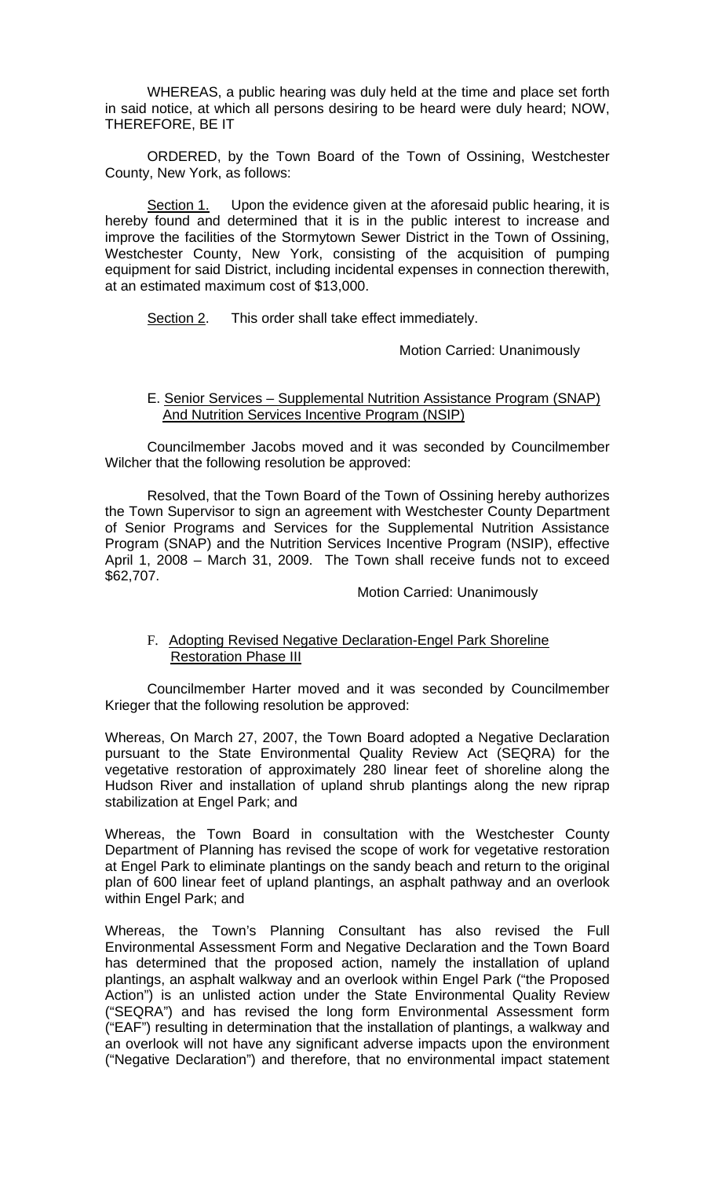WHEREAS, a public hearing was duly held at the time and place set forth in said notice, at which all persons desiring to be heard were duly heard; NOW, THEREFORE, BE IT

ORDERED, by the Town Board of the Town of Ossining, Westchester County, New York, as follows:

Section 1. Upon the evidence given at the aforesaid public hearing, it is hereby found and determined that it is in the public interest to increase and improve the facilities of the Stormytown Sewer District in the Town of Ossining, Westchester County, New York, consisting of the acquisition of pumping equipment for said District, including incidental expenses in connection therewith, at an estimated maximum cost of \$13,000.

Section 2. This order shall take effect immediately.

Motion Carried: Unanimously

#### E. Senior Services – Supplemental Nutrition Assistance Program (SNAP) And Nutrition Services Incentive Program (NSIP)

 Councilmember Jacobs moved and it was seconded by Councilmember Wilcher that the following resolution be approved:

 Resolved, that the Town Board of the Town of Ossining hereby authorizes the Town Supervisor to sign an agreement with Westchester County Department of Senior Programs and Services for the Supplemental Nutrition Assistance Program (SNAP) and the Nutrition Services Incentive Program (NSIP), effective April 1, 2008 – March 31, 2009. The Town shall receive funds not to exceed \$62,707.

#### Motion Carried: Unanimously

#### F. Adopting Revised Negative Declaration-Engel Park Shoreline Restoration Phase III

 Councilmember Harter moved and it was seconded by Councilmember Krieger that the following resolution be approved:

Whereas, On March 27, 2007, the Town Board adopted a Negative Declaration pursuant to the State Environmental Quality Review Act (SEQRA) for the vegetative restoration of approximately 280 linear feet of shoreline along the Hudson River and installation of upland shrub plantings along the new riprap stabilization at Engel Park; and

Whereas, the Town Board in consultation with the Westchester County Department of Planning has revised the scope of work for vegetative restoration at Engel Park to eliminate plantings on the sandy beach and return to the original plan of 600 linear feet of upland plantings, an asphalt pathway and an overlook within Engel Park; and

Whereas, the Town's Planning Consultant has also revised the Full Environmental Assessment Form and Negative Declaration and the Town Board has determined that the proposed action, namely the installation of upland plantings, an asphalt walkway and an overlook within Engel Park ("the Proposed Action") is an unlisted action under the State Environmental Quality Review ("SEQRA") and has revised the long form Environmental Assessment form ("EAF") resulting in determination that the installation of plantings, a walkway and an overlook will not have any significant adverse impacts upon the environment ("Negative Declaration") and therefore, that no environmental impact statement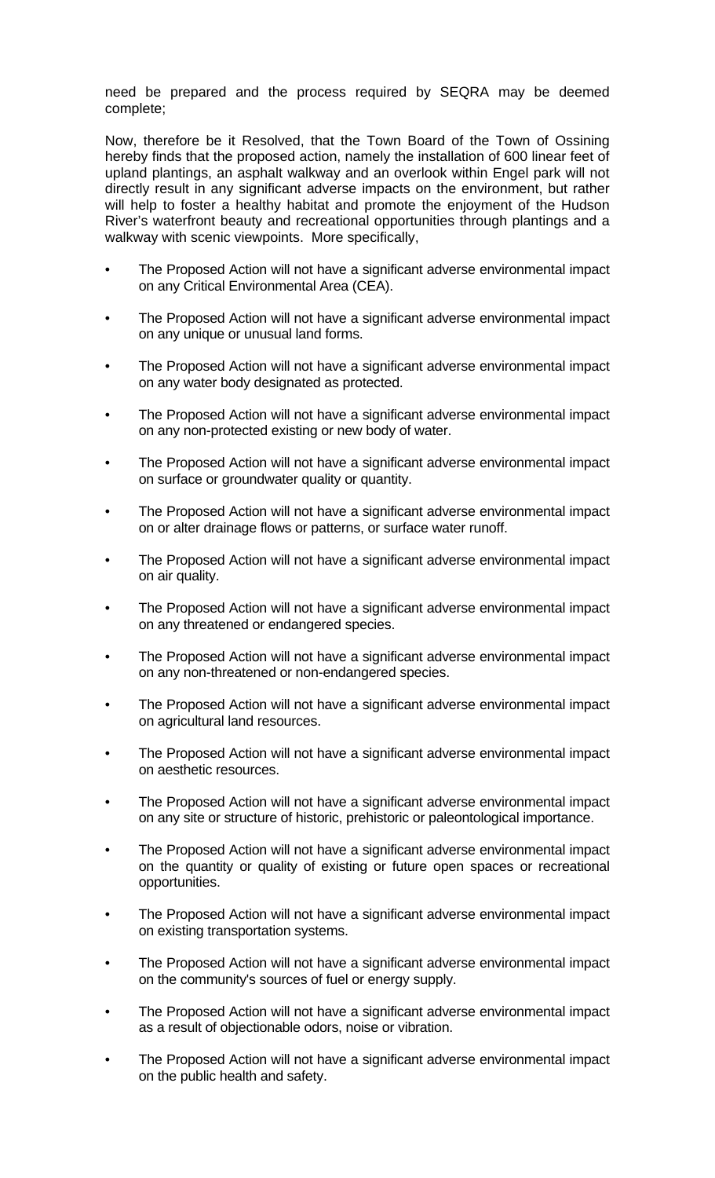need be prepared and the process required by SEQRA may be deemed complete;

Now, therefore be it Resolved, that the Town Board of the Town of Ossining hereby finds that the proposed action, namely the installation of 600 linear feet of upland plantings, an asphalt walkway and an overlook within Engel park will not directly result in any significant adverse impacts on the environment, but rather will help to foster a healthy habitat and promote the enjoyment of the Hudson River's waterfront beauty and recreational opportunities through plantings and a walkway with scenic viewpoints. More specifically,

- The Proposed Action will not have a significant adverse environmental impact on any Critical Environmental Area (CEA).
- The Proposed Action will not have a significant adverse environmental impact on any unique or unusual land forms.
- The Proposed Action will not have a significant adverse environmental impact on any water body designated as protected.
- The Proposed Action will not have a significant adverse environmental impact on any non-protected existing or new body of water.
- The Proposed Action will not have a significant adverse environmental impact on surface or groundwater quality or quantity.
- The Proposed Action will not have a significant adverse environmental impact on or alter drainage flows or patterns, or surface water runoff.
- The Proposed Action will not have a significant adverse environmental impact on air quality.
- The Proposed Action will not have a significant adverse environmental impact on any threatened or endangered species.
- The Proposed Action will not have a significant adverse environmental impact on any non-threatened or non-endangered species.
- The Proposed Action will not have a significant adverse environmental impact on agricultural land resources.
- The Proposed Action will not have a significant adverse environmental impact on aesthetic resources.
- The Proposed Action will not have a significant adverse environmental impact on any site or structure of historic, prehistoric or paleontological importance.
- The Proposed Action will not have a significant adverse environmental impact on the quantity or quality of existing or future open spaces or recreational opportunities.
- The Proposed Action will not have a significant adverse environmental impact on existing transportation systems.
- The Proposed Action will not have a significant adverse environmental impact on the community's sources of fuel or energy supply.
- The Proposed Action will not have a significant adverse environmental impact as a result of objectionable odors, noise or vibration.
- The Proposed Action will not have a significant adverse environmental impact on the public health and safety.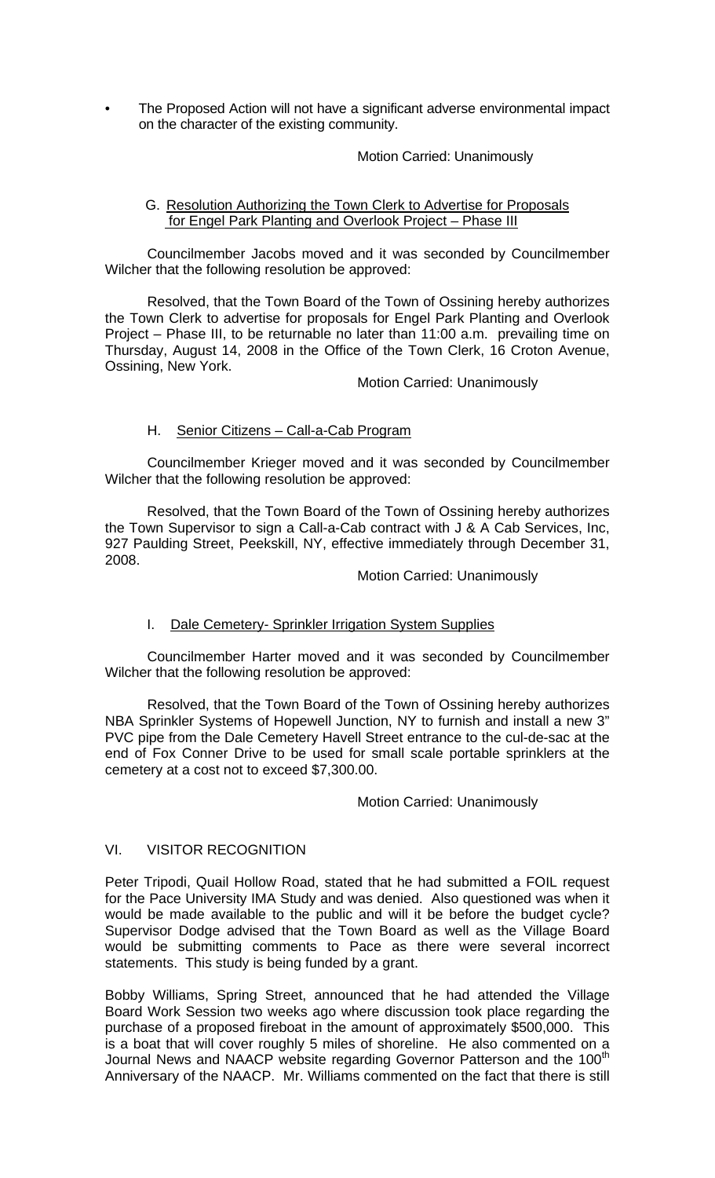• The Proposed Action will not have a significant adverse environmental impact on the character of the existing community.

## Motion Carried: Unanimously

## G. Resolution Authorizing the Town Clerk to Advertise for Proposals for Engel Park Planting and Overlook Project – Phase III

 Councilmember Jacobs moved and it was seconded by Councilmember Wilcher that the following resolution be approved:

 Resolved, that the Town Board of the Town of Ossining hereby authorizes the Town Clerk to advertise for proposals for Engel Park Planting and Overlook Project – Phase III, to be returnable no later than 11:00 a.m. prevailing time on Thursday, August 14, 2008 in the Office of the Town Clerk, 16 Croton Avenue, Ossining, New York.

## Motion Carried: Unanimously

## H. Senior Citizens – Call-a-Cab Program

 Councilmember Krieger moved and it was seconded by Councilmember Wilcher that the following resolution be approved:

Resolved, that the Town Board of the Town of Ossining hereby authorizes the Town Supervisor to sign a Call-a-Cab contract with J & A Cab Services, Inc, 927 Paulding Street, Peekskill, NY, effective immediately through December 31, 2008.

#### Motion Carried: Unanimously

## I. Dale Cemetery- Sprinkler Irrigation System Supplies

 Councilmember Harter moved and it was seconded by Councilmember Wilcher that the following resolution be approved:

Resolved, that the Town Board of the Town of Ossining hereby authorizes NBA Sprinkler Systems of Hopewell Junction, NY to furnish and install a new 3" PVC pipe from the Dale Cemetery Havell Street entrance to the cul-de-sac at the end of Fox Conner Drive to be used for small scale portable sprinklers at the cemetery at a cost not to exceed \$7,300.00.

#### Motion Carried: Unanimously

## VI. VISITOR RECOGNITION

Peter Tripodi, Quail Hollow Road, stated that he had submitted a FOIL request for the Pace University IMA Study and was denied. Also questioned was when it would be made available to the public and will it be before the budget cycle? Supervisor Dodge advised that the Town Board as well as the Village Board would be submitting comments to Pace as there were several incorrect statements. This study is being funded by a grant.

Bobby Williams, Spring Street, announced that he had attended the Village Board Work Session two weeks ago where discussion took place regarding the purchase of a proposed fireboat in the amount of approximately \$500,000. This is a boat that will cover roughly 5 miles of shoreline. He also commented on a Journal News and NAACP website regarding Governor Patterson and the 100<sup>th</sup> Anniversary of the NAACP. Mr. Williams commented on the fact that there is still